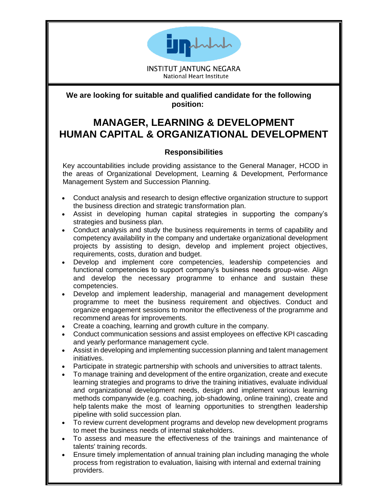

**INSTITUT IANTUNG NEGARA** National Heart Institute

**We are looking for suitable and qualified candidate for the following position:**

## **MANAGER, LEARNING & DEVELOPMENT HUMAN CAPITAL & ORGANIZATIONAL DEVELOPMENT**

## **Responsibilities**

Key accountabilities include providing assistance to the General Manager, HCOD in the areas of Organizational Development, Learning & Development, Performance Management System and Succession Planning.

- Conduct analysis and research to design effective organization structure to support the business direction and strategic transformation plan.
- Assist in developing human capital strategies in supporting the company's strategies and business plan.
- Conduct analysis and study the business requirements in terms of capability and competency availability in the company and undertake organizational development projects by assisting to design, develop and implement project objectives, requirements, costs, duration and budget.
- Develop and implement core competencies, leadership competencies and functional competencies to support company's business needs group-wise. Align and develop the necessary programme to enhance and sustain these competencies.
- Develop and implement leadership, managerial and management development programme to meet the business requirement and objectives. Conduct and organize engagement sessions to monitor the effectiveness of the programme and recommend areas for improvements.
- Create a coaching, learning and growth culture in the company.
- Conduct communication sessions and assist employees on effective KPI cascading and yearly performance management cycle.
- Assist in developing and implementing succession planning and talent management initiatives.
- Participate in strategic partnership with schools and universities to attract talents.
- To manage training and development of the entire organization, create and execute learning strategies and programs to drive the training initiatives, evaluate individual and organizational development needs, design and implement various learning methods companywide (e.g. coaching, job-shadowing, online training), create and help talents make the most of learning opportunities to strengthen leadership pipeline with solid succession plan.
- To review current development programs and develop new development programs to meet the business needs of internal stakeholders.
- To assess and measure the effectiveness of the trainings and maintenance of talents' training records.
- Ensure timely implementation of annual training plan including managing the whole process from registration to evaluation, liaising with internal and external training providers.